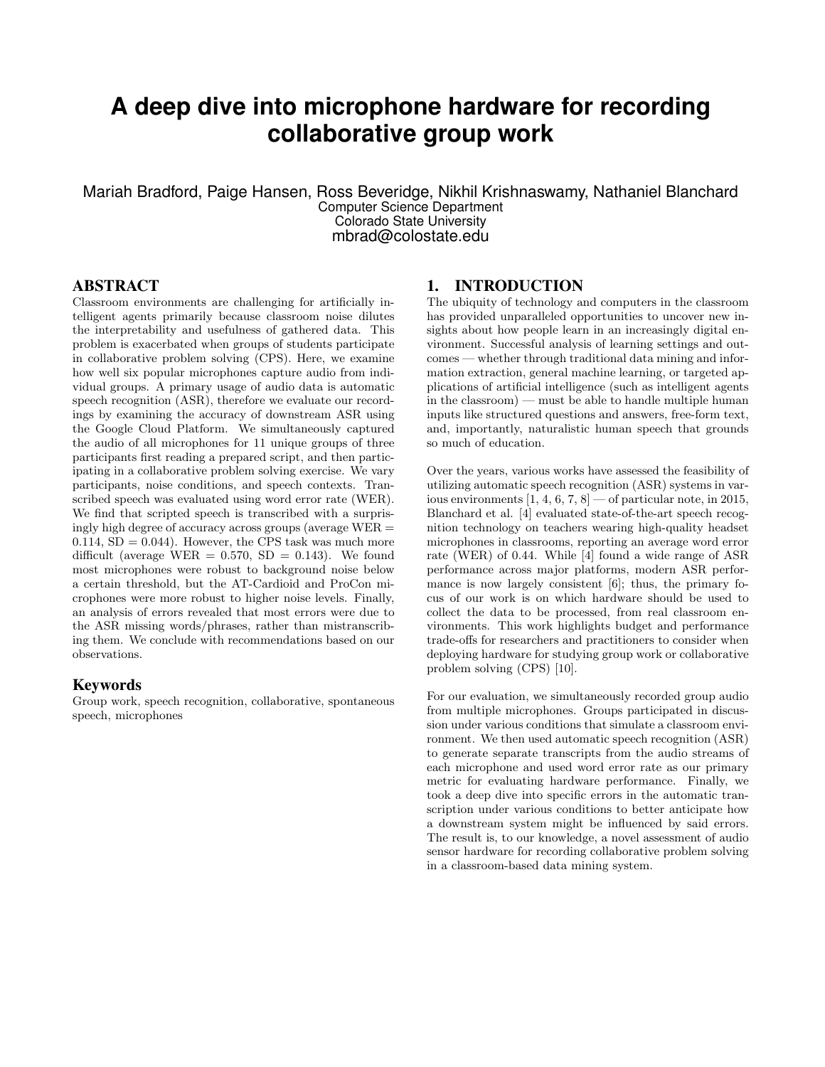# **A deep dive into microphone hardware for recording collaborative group work**

Mariah Bradford, Paige Hansen, Ross Beveridge, Nikhil Krishnaswamy, Nathaniel Blanchard Computer Science Department Colorado State University mbrad@colostate.edu

#### ABSTRACT

Classroom environments are challenging for artificially intelligent agents primarily because classroom noise dilutes the interpretability and usefulness of gathered data. This problem is exacerbated when groups of students participate in collaborative problem solving (CPS). Here, we examine how well six popular microphones capture audio from individual groups. A primary usage of audio data is automatic speech recognition (ASR), therefore we evaluate our recordings by examining the accuracy of downstream ASR using the Google Cloud Platform. We simultaneously captured the audio of all microphones for 11 unique groups of three participants first reading a prepared script, and then participating in a collaborative problem solving exercise. We vary participants, noise conditions, and speech contexts. Transcribed speech was evaluated using word error rate (WER). We find that scripted speech is transcribed with a surprisingly high degree of accuracy across groups (average WER =  $0.114$ , SD = 0.044). However, the CPS task was much more difficult (average WER  $= 0.570$ , SD  $= 0.143$ ). We found most microphones were robust to background noise below a certain threshold, but the AT-Cardioid and ProCon microphones were more robust to higher noise levels. Finally, an analysis of errors revealed that most errors were due to the ASR missing words/phrases, rather than mistranscribing them. We conclude with recommendations based on our observations.

#### Keywords

Group work, speech recognition, collaborative, spontaneous speech, microphones

#### 1. INTRODUCTION

The ubiquity of technology and computers in the classroom has provided unparalleled opportunities to uncover new insights about how people learn in an increasingly digital environment. Successful analysis of learning settings and outcomes — whether through traditional data mining and information extraction, general machine learning, or targeted applications of artificial intelligence (such as intelligent agents in the classroom) — must be able to handle multiple human inputs like structured questions and answers, free-form text, and, importantly, naturalistic human speech that grounds so much of education.

Over the years, various works have assessed the feasibility of utilizing automatic speech recognition (ASR) systems in various environments  $[1, 4, 6, 7, 8]$  — of particular note, in 2015, Blanchard et al. [4] evaluated state-of-the-art speech recognition technology on teachers wearing high-quality headset microphones in classrooms, reporting an average word error rate (WER) of 0.44. While [4] found a wide range of ASR performance across major platforms, modern ASR performance is now largely consistent [6]; thus, the primary focus of our work is on which hardware should be used to collect the data to be processed, from real classroom environments. This work highlights budget and performance trade-offs for researchers and practitioners to consider when deploying hardware for studying group work or collaborative problem solving (CPS) [10].

For our evaluation, we simultaneously recorded group audio from multiple microphones. Groups participated in discussion under various conditions that simulate a classroom environment. We then used automatic speech recognition (ASR) to generate separate transcripts from the audio streams of each microphone and used word error rate as our primary metric for evaluating hardware performance. Finally, we took a deep dive into specific errors in the automatic transcription under various conditions to better anticipate how a downstream system might be influenced by said errors. The result is, to our knowledge, a novel assessment of audio sensor hardware for recording collaborative problem solving in a classroom-based data mining system.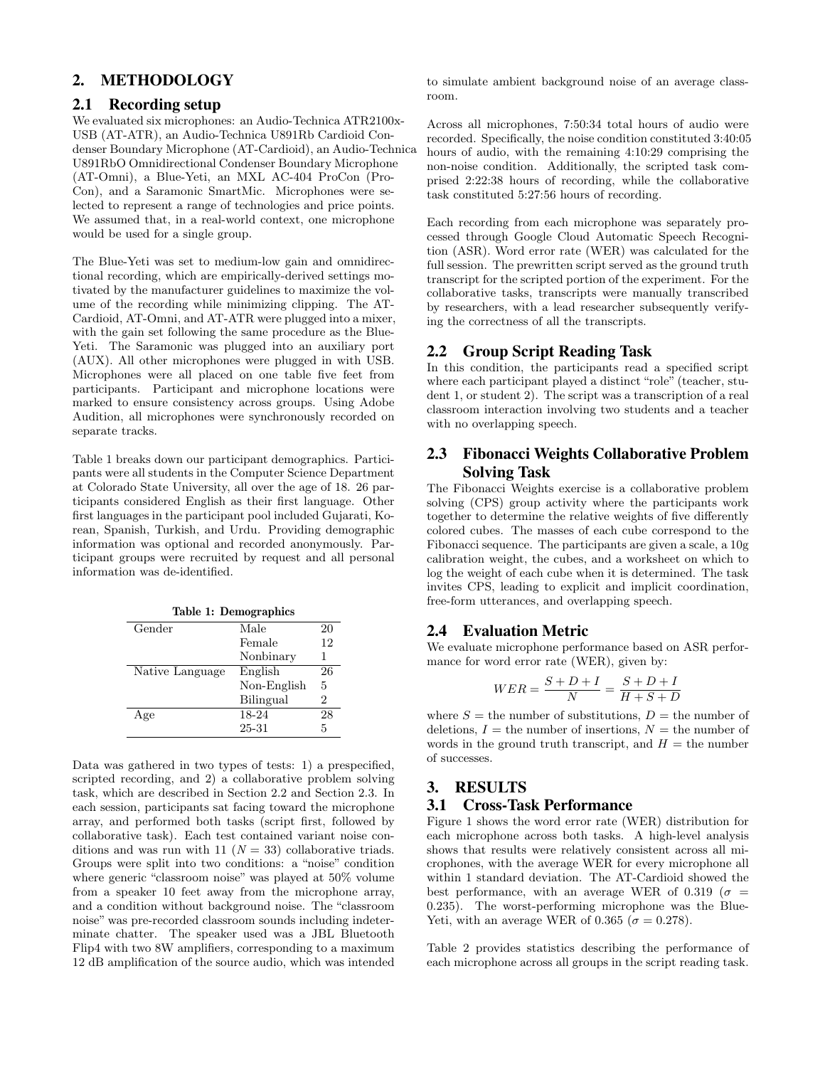# 2. METHODOLOGY

#### 2.1 Recording setup

We evaluated six microphones: an Audio-Technica ATR2100x-USB (AT-ATR), an Audio-Technica U891Rb Cardioid Condenser Boundary Microphone (AT-Cardioid), an Audio-Technica U891RbO Omnidirectional Condenser Boundary Microphone (AT-Omni), a Blue-Yeti, an MXL AC-404 ProCon (Pro-Con), and a Saramonic SmartMic. Microphones were selected to represent a range of technologies and price points. We assumed that, in a real-world context, one microphone would be used for a single group.

The Blue-Yeti was set to medium-low gain and omnidirectional recording, which are empirically-derived settings motivated by the manufacturer guidelines to maximize the volume of the recording while minimizing clipping. The AT-Cardioid, AT-Omni, and AT-ATR were plugged into a mixer, with the gain set following the same procedure as the Blue-Yeti. The Saramonic was plugged into an auxiliary port (AUX). All other microphones were plugged in with USB. Microphones were all placed on one table five feet from participants. Participant and microphone locations were marked to ensure consistency across groups. Using Adobe Audition, all microphones were synchronously recorded on separate tracks.

Table 1 breaks down our participant demographics. Participants were all students in the Computer Science Department at Colorado State University, all over the age of 18. 26 participants considered English as their first language. Other first languages in the participant pool included Gujarati, Korean, Spanish, Turkish, and Urdu. Providing demographic information was optional and recorded anonymously. Participant groups were recruited by request and all personal information was de-identified.

| Table 1: Demographics |             |    |  |  |
|-----------------------|-------------|----|--|--|
| Gender                | Male        | 20 |  |  |
|                       | Female      | 12 |  |  |
|                       | Nonbinary   | 1  |  |  |
| Native Language       | English     | 26 |  |  |
|                       | Non-English | 5  |  |  |
|                       | Bilingual   | 2  |  |  |
| Age                   | 18-24       | 28 |  |  |
|                       | 25-31       | 5  |  |  |

Data was gathered in two types of tests: 1) a prespecified, scripted recording, and 2) a collaborative problem solving task, which are described in Section 2.2 and Section 2.3. In each session, participants sat facing toward the microphone array, and performed both tasks (script first, followed by collaborative task). Each test contained variant noise conditions and was run with 11 ( $N = 33$ ) collaborative triads. Groups were split into two conditions: a "noise" condition where generic "classroom noise" was played at 50% volume from a speaker 10 feet away from the microphone array, and a condition without background noise. The "classroom noise" was pre-recorded classroom sounds including indeterminate chatter. The speaker used was a JBL Bluetooth Flip4 with two 8W amplifiers, corresponding to a maximum 12 dB amplification of the source audio, which was intended

to simulate ambient background noise of an average classroom.

Across all microphones, 7:50:34 total hours of audio were recorded. Specifically, the noise condition constituted 3:40:05 hours of audio, with the remaining 4:10:29 comprising the non-noise condition. Additionally, the scripted task comprised 2:22:38 hours of recording, while the collaborative task constituted 5:27:56 hours of recording.

Each recording from each microphone was separately processed through Google Cloud Automatic Speech Recognition (ASR). Word error rate (WER) was calculated for the full session. The prewritten script served as the ground truth transcript for the scripted portion of the experiment. For the collaborative tasks, transcripts were manually transcribed by researchers, with a lead researcher subsequently verifying the correctness of all the transcripts.

### 2.2 Group Script Reading Task

In this condition, the participants read a specified script where each participant played a distinct "role" (teacher, student 1, or student 2). The script was a transcription of a real classroom interaction involving two students and a teacher with no overlapping speech.

## 2.3 Fibonacci Weights Collaborative Problem Solving Task

The Fibonacci Weights exercise is a collaborative problem solving (CPS) group activity where the participants work together to determine the relative weights of five differently colored cubes. The masses of each cube correspond to the Fibonacci sequence. The participants are given a scale, a 10g calibration weight, the cubes, and a worksheet on which to log the weight of each cube when it is determined. The task invites CPS, leading to explicit and implicit coordination, free-form utterances, and overlapping speech.

#### 2.4 Evaluation Metric

We evaluate microphone performance based on ASR performance for word error rate (WER), given by:

$$
WER = \frac{S+D+I}{N} = \frac{S+D+I}{H+S+D}
$$

where  $S =$  the number of substitutions,  $D =$  the number of deletions,  $I =$  the number of insertions,  $N =$  the number of words in the ground truth transcript, and  $H =$  the number of successes.

#### 3. RESULTS 3.1 Cross-Task Performance

Figure 1 shows the word error rate (WER) distribution for each microphone across both tasks. A high-level analysis shows that results were relatively consistent across all microphones, with the average WER for every microphone all within 1 standard deviation. The AT-Cardioid showed the best performance, with an average WER of 0.319 ( $\sigma$  = 0.235). The worst-performing microphone was the Blue-Yeti, with an average WER of 0.365 ( $\sigma = 0.278$ ).

Table 2 provides statistics describing the performance of each microphone across all groups in the script reading task.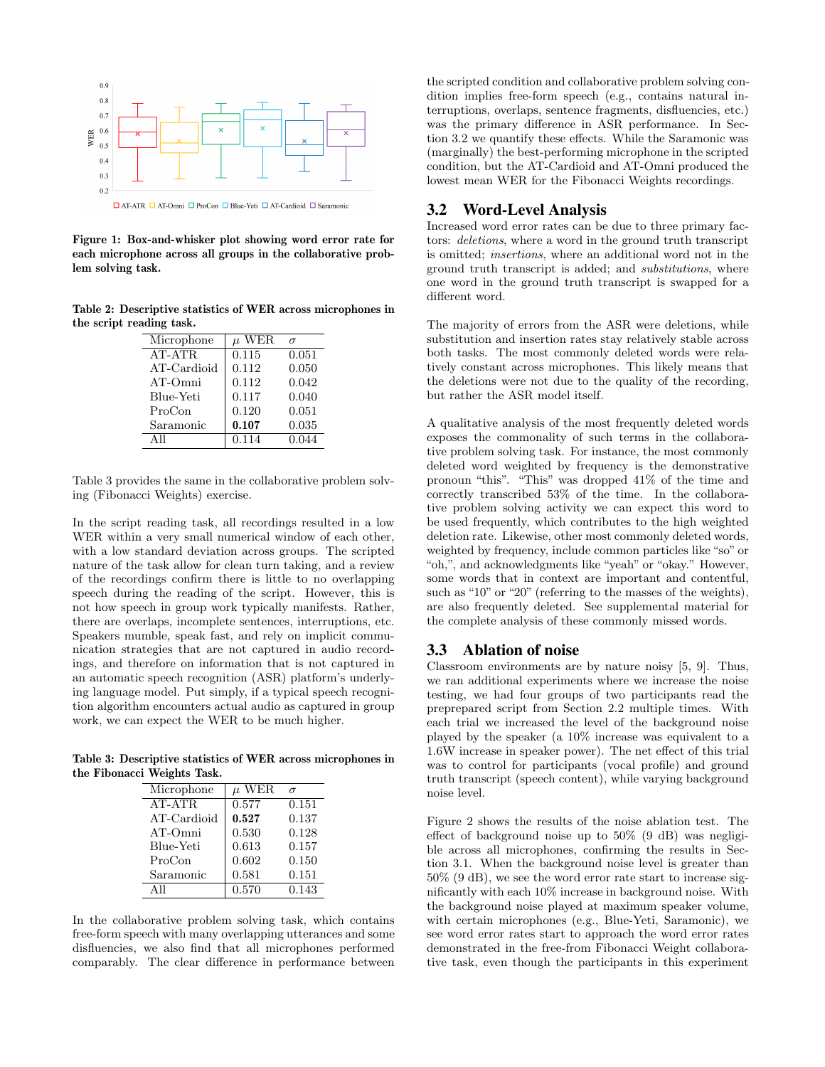

Figure 1: Box-and-whisker plot showing word error rate for each microphone across all groups in the collaborative problem solving task.

Table 2: Descriptive statistics of WER across microphones in the script reading task.

| Microphone  | $\mu$ WER | $\sigma$ |
|-------------|-----------|----------|
| AT-ATR      | 0.115     | 0.051    |
| AT-Cardioid | 0.112     | 0.050    |
| AT-Omni     | 0.112     | 0.042    |
| Blue-Yeti   | 0.117     | 0.040    |
| ProCon      | 0.120     | 0.051    |
| Saramonic   | 0.107     | 0.035    |
| A11         | 0.114     | 0.044    |

Table 3 provides the same in the collaborative problem solving (Fibonacci Weights) exercise.

In the script reading task, all recordings resulted in a low WER within a very small numerical window of each other, with a low standard deviation across groups. The scripted nature of the task allow for clean turn taking, and a review of the recordings confirm there is little to no overlapping speech during the reading of the script. However, this is not how speech in group work typically manifests. Rather, there are overlaps, incomplete sentences, interruptions, etc. Speakers mumble, speak fast, and rely on implicit communication strategies that are not captured in audio recordings, and therefore on information that is not captured in an automatic speech recognition (ASR) platform's underlying language model. Put simply, if a typical speech recognition algorithm encounters actual audio as captured in group work, we can expect the WER to be much higher.

Table 3: Descriptive statistics of WER across microphones in the Fibonacci Weights Task.

| Microphone  | $\mu$ WER | $\sigma$ |
|-------------|-----------|----------|
| AT-ATR      | 0.577     | 0.151    |
| AT-Cardioid | 0.527     | 0.137    |
| AT-Omni     | 0.530     | 0.128    |
| Blue-Yeti   | 0.613     | 0.157    |
| ProCon      | 0.602     | 0.150    |
| Saramonic   | 0.581     | 0.151    |
|             | 0.570     | 0.143    |

In the collaborative problem solving task, which contains free-form speech with many overlapping utterances and some disfluencies, we also find that all microphones performed comparably. The clear difference in performance between

the scripted condition and collaborative problem solving condition implies free-form speech (e.g., contains natural interruptions, overlaps, sentence fragments, disfluencies, etc.) was the primary difference in ASR performance. In Section 3.2 we quantify these effects. While the Saramonic was (marginally) the best-performing microphone in the scripted condition, but the AT-Cardioid and AT-Omni produced the lowest mean WER for the Fibonacci Weights recordings.

#### 3.2 Word-Level Analysis

Increased word error rates can be due to three primary factors: deletions, where a word in the ground truth transcript is omitted; insertions, where an additional word not in the ground truth transcript is added; and substitutions, where one word in the ground truth transcript is swapped for a different word.

The majority of errors from the ASR were deletions, while substitution and insertion rates stay relatively stable across both tasks. The most commonly deleted words were relatively constant across microphones. This likely means that the deletions were not due to the quality of the recording, but rather the ASR model itself.

A qualitative analysis of the most frequently deleted words exposes the commonality of such terms in the collaborative problem solving task. For instance, the most commonly deleted word weighted by frequency is the demonstrative pronoun "this". "This" was dropped 41% of the time and correctly transcribed 53% of the time. In the collaborative problem solving activity we can expect this word to be used frequently, which contributes to the high weighted deletion rate. Likewise, other most commonly deleted words, weighted by frequency, include common particles like "so" or "oh,", and acknowledgments like "yeah" or "okay." However, some words that in context are important and contentful, such as "10" or "20" (referring to the masses of the weights), are also frequently deleted. See supplemental material for the complete analysis of these commonly missed words.

#### 3.3 Ablation of noise

Classroom environments are by nature noisy [5, 9]. Thus, we ran additional experiments where we increase the noise testing, we had four groups of two participants read the preprepared script from Section 2.2 multiple times. With each trial we increased the level of the background noise played by the speaker (a 10% increase was equivalent to a 1.6W increase in speaker power). The net effect of this trial was to control for participants (vocal profile) and ground truth transcript (speech content), while varying background noise level.

Figure 2 shows the results of the noise ablation test. The effect of background noise up to 50% (9 dB) was negligible across all microphones, confirming the results in Section 3.1. When the background noise level is greater than 50% (9 dB), we see the word error rate start to increase significantly with each 10% increase in background noise. With the background noise played at maximum speaker volume, with certain microphones (e.g., Blue-Yeti, Saramonic), we see word error rates start to approach the word error rates demonstrated in the free-from Fibonacci Weight collaborative task, even though the participants in this experiment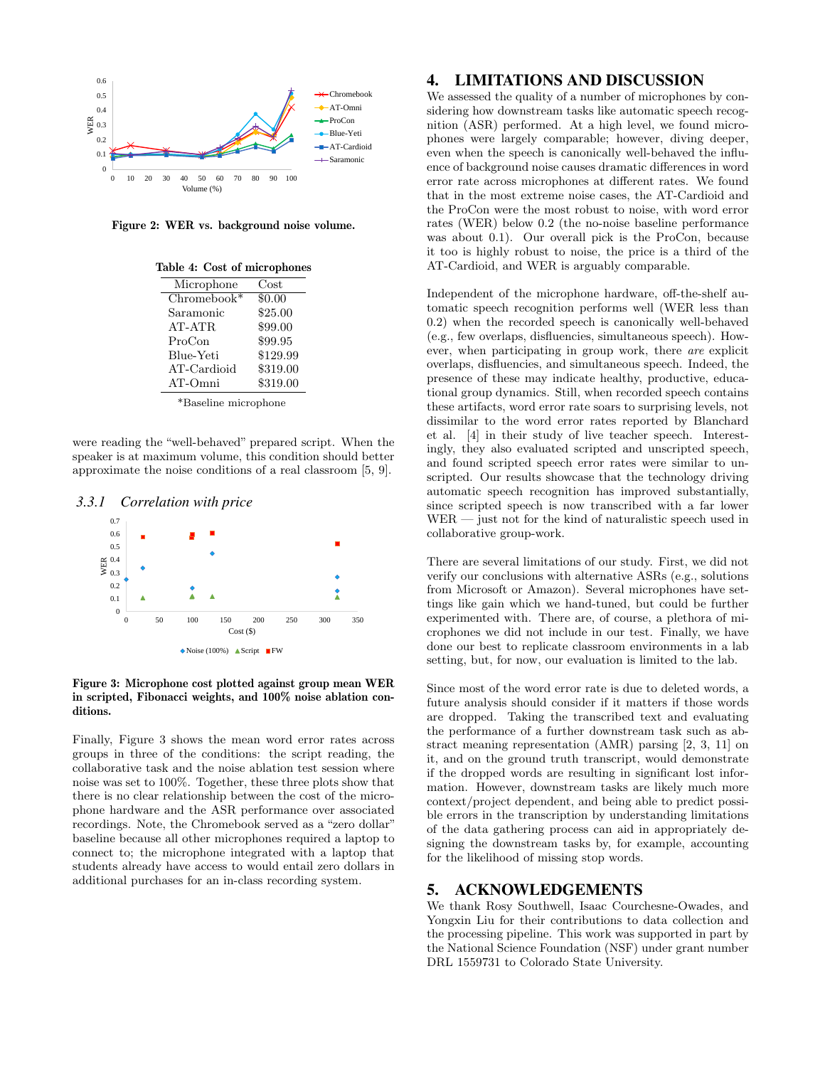

Figure 2: WER vs. background noise volume.

| Microphone    | Cost     |
|---------------|----------|
| $Chromebook*$ | \$0.00   |
| Saramonic     | \$25.00  |
| AT-ATR        | \$99.00  |
| ProCon        | \$99.95  |
| Blue-Yeti     | \$129.99 |
| AT-Cardioid   | \$319.00 |
| AT-Omni       | \$319.00 |

\*Baseline microphone

were reading the "well-behaved" prepared script. When the speaker is at maximum volume, this condition should better approximate the noise conditions of a real classroom [5, 9].

*3.3.1 Correlation with price*



Figure 3: Microphone cost plotted against group mean WER in scripted, Fibonacci weights, and 100% noise ablation conditions.

Finally, Figure 3 shows the mean word error rates across groups in three of the conditions: the script reading, the collaborative task and the noise ablation test session where noise was set to 100%. Together, these three plots show that there is no clear relationship between the cost of the microphone hardware and the ASR performance over associated recordings. Note, the Chromebook served as a "zero dollar" baseline because all other microphones required a laptop to connect to; the microphone integrated with a laptop that students already have access to would entail zero dollars in additional purchases for an in-class recording system.

#### 4. LIMITATIONS AND DISCUSSION

We assessed the quality of a number of microphones by considering how downstream tasks like automatic speech recognition (ASR) performed. At a high level, we found microphones were largely comparable; however, diving deeper, even when the speech is canonically well-behaved the influence of background noise causes dramatic differences in word error rate across microphones at different rates. We found that in the most extreme noise cases, the AT-Cardioid and the ProCon were the most robust to noise, with word error rates (WER) below 0.2 (the no-noise baseline performance was about 0.1). Our overall pick is the ProCon, because it too is highly robust to noise, the price is a third of the AT-Cardioid, and WER is arguably comparable.

Independent of the microphone hardware, off-the-shelf automatic speech recognition performs well (WER less than 0.2) when the recorded speech is canonically well-behaved (e.g., few overlaps, disfluencies, simultaneous speech). However, when participating in group work, there are explicit overlaps, disfluencies, and simultaneous speech. Indeed, the presence of these may indicate healthy, productive, educational group dynamics. Still, when recorded speech contains these artifacts, word error rate soars to surprising levels, not dissimilar to the word error rates reported by Blanchard et al. [4] in their study of live teacher speech. Interestingly, they also evaluated scripted and unscripted speech, and found scripted speech error rates were similar to unscripted. Our results showcase that the technology driving automatic speech recognition has improved substantially, since scripted speech is now transcribed with a far lower WER — just not for the kind of naturalistic speech used in collaborative group-work.

There are several limitations of our study. First, we did not verify our conclusions with alternative ASRs (e.g., solutions from Microsoft or Amazon). Several microphones have settings like gain which we hand-tuned, but could be further experimented with. There are, of course, a plethora of microphones we did not include in our test. Finally, we have done our best to replicate classroom environments in a lab setting, but, for now, our evaluation is limited to the lab.

Since most of the word error rate is due to deleted words, a future analysis should consider if it matters if those words are dropped. Taking the transcribed text and evaluating the performance of a further downstream task such as abstract meaning representation (AMR) parsing [2, 3, 11] on it, and on the ground truth transcript, would demonstrate if the dropped words are resulting in significant lost information. However, downstream tasks are likely much more context/project dependent, and being able to predict possible errors in the transcription by understanding limitations of the data gathering process can aid in appropriately designing the downstream tasks by, for example, accounting for the likelihood of missing stop words.

#### 5. ACKNOWLEDGEMENTS

We thank Rosy Southwell, Isaac Courchesne-Owades, and Yongxin Liu for their contributions to data collection and the processing pipeline. This work was supported in part by the National Science Foundation (NSF) under grant number DRL 1559731 to Colorado State University.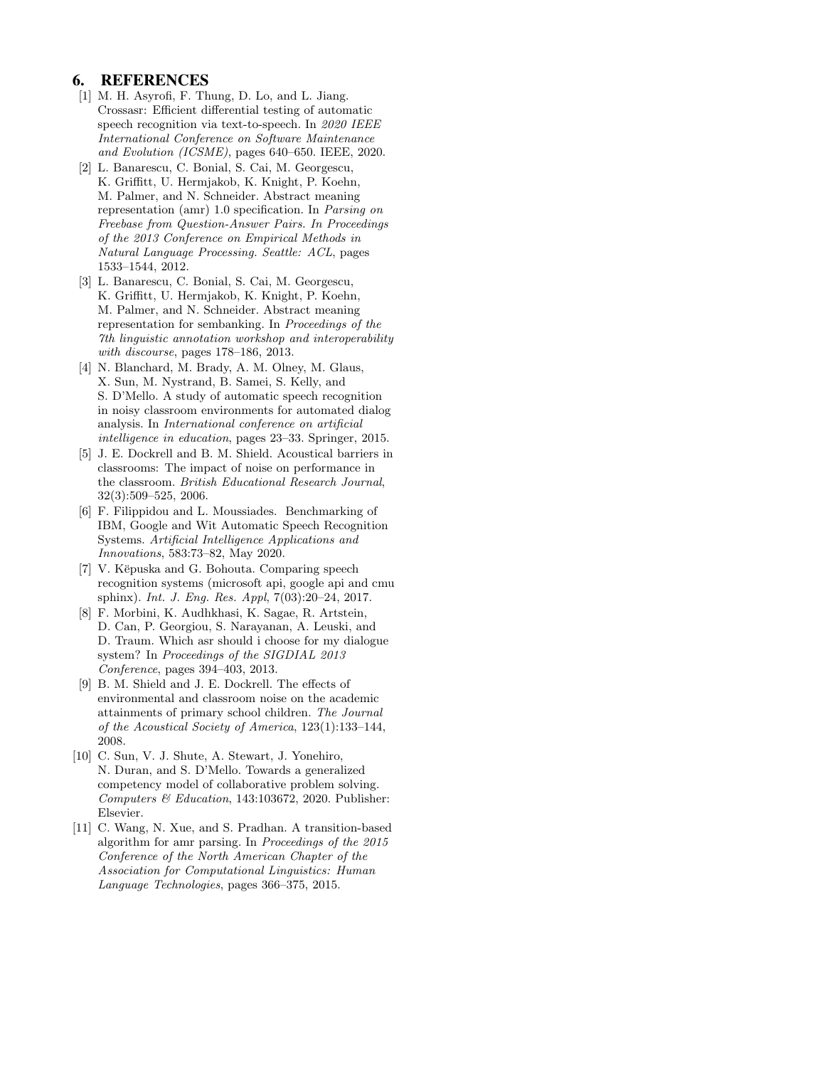#### 6. REFERENCES

- [1] M. H. Asyrofi, F. Thung, D. Lo, and L. Jiang. Crossasr: Efficient differential testing of automatic speech recognition via text-to-speech. In 2020 IEEE International Conference on Software Maintenance and Evolution (ICSME), pages 640–650. IEEE, 2020.
- [2] L. Banarescu, C. Bonial, S. Cai, M. Georgescu, K. Griffitt, U. Hermjakob, K. Knight, P. Koehn, M. Palmer, and N. Schneider. Abstract meaning representation (amr) 1.0 specification. In Parsing on Freebase from Question-Answer Pairs. In Proceedings of the 2013 Conference on Empirical Methods in Natural Language Processing. Seattle: ACL, pages 1533–1544, 2012.
- [3] L. Banarescu, C. Bonial, S. Cai, M. Georgescu, K. Griffitt, U. Hermjakob, K. Knight, P. Koehn, M. Palmer, and N. Schneider. Abstract meaning representation for sembanking. In Proceedings of the 7th linguistic annotation workshop and interoperability with discourse, pages 178–186, 2013.
- [4] N. Blanchard, M. Brady, A. M. Olney, M. Glaus, X. Sun, M. Nystrand, B. Samei, S. Kelly, and S. D'Mello. A study of automatic speech recognition in noisy classroom environments for automated dialog analysis. In International conference on artificial intelligence in education, pages 23–33. Springer, 2015.
- [5] J. E. Dockrell and B. M. Shield. Acoustical barriers in classrooms: The impact of noise on performance in the classroom. British Educational Research Journal, 32(3):509–525, 2006.
- [6] F. Filippidou and L. Moussiades. Benchmarking of IBM, Google and Wit Automatic Speech Recognition Systems. Artificial Intelligence Applications and Innovations, 583:73–82, May 2020.
- [7] V. Këpuska and G. Bohouta. Comparing speech recognition systems (microsoft api, google api and cmu sphinx). Int. J. Eng. Res. Appl, 7(03):20–24, 2017.
- [8] F. Morbini, K. Audhkhasi, K. Sagae, R. Artstein, D. Can, P. Georgiou, S. Narayanan, A. Leuski, and D. Traum. Which asr should i choose for my dialogue system? In Proceedings of the SIGDIAL 2013 Conference, pages 394–403, 2013.
- [9] B. M. Shield and J. E. Dockrell. The effects of environmental and classroom noise on the academic attainments of primary school children. The Journal of the Acoustical Society of America, 123(1):133–144, 2008.
- [10] C. Sun, V. J. Shute, A. Stewart, J. Yonehiro, N. Duran, and S. D'Mello. Towards a generalized competency model of collaborative problem solving. Computers & Education, 143:103672, 2020. Publisher: Elsevier.
- [11] C. Wang, N. Xue, and S. Pradhan. A transition-based algorithm for amr parsing. In Proceedings of the 2015 Conference of the North American Chapter of the Association for Computational Linguistics: Human Language Technologies, pages 366–375, 2015.